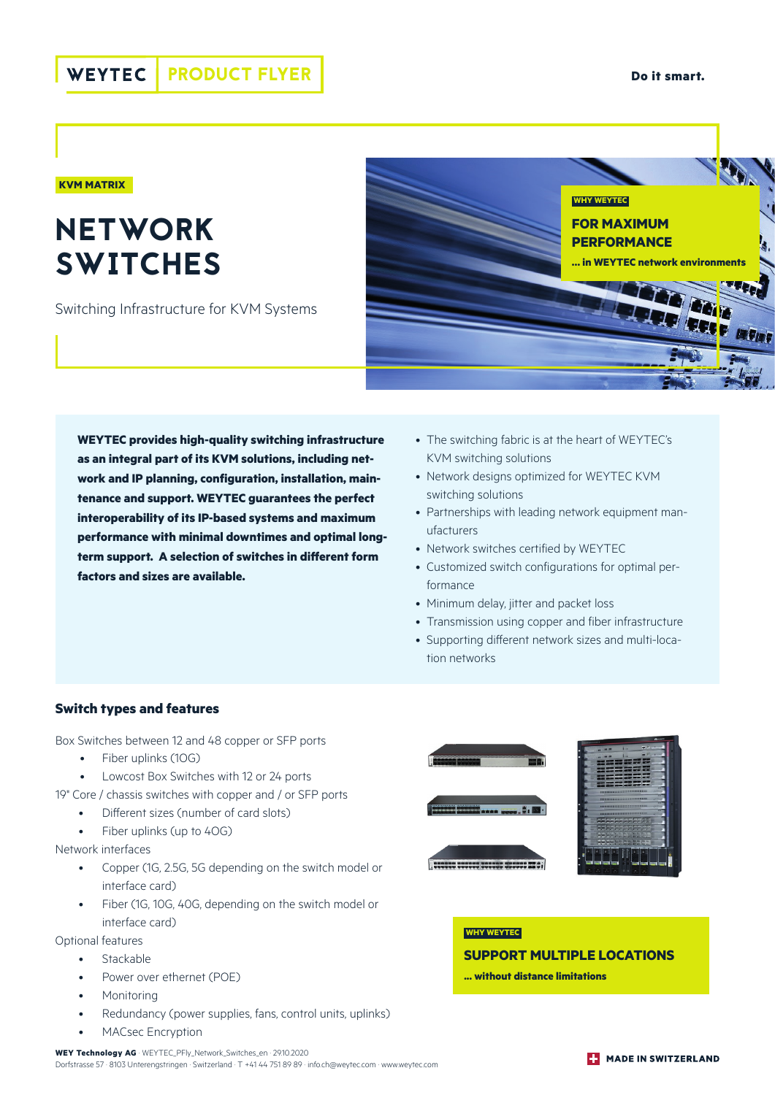#### **KVM MATRIX**

# **NETWORK SWITCHES**

Switching Infrastructure for KVM Systems



**WEYTEC provides high-quality switching infrastructure as an integral part of its KVM solutions, including network and IP planning, configuration, installation, maintenance and support. WEYTEC guarantees the perfect interoperability of its IP-based systems and maximum performance with minimal downtimes and optimal longterm support. A selection of switches in different form factors and sizes are available.**

- The switching fabric is at the heart of WEYTEC's KVM switching solutions
- Network designs optimized for WEYTEC KVM switching solutions
- Partnerships with leading network equipment manufacturers
- Network switches certified by WEYTEC
- Customized switch configurations for optimal performance
- Minimum delay, jitter and packet loss
- Transmission using copper and fiber infrastructure
- Supporting different network sizes and multi-location networks

## **Switch types and features**

Box Switches between 12 and 48 copper or SFP ports

- Fiber uplinks (1OG)
- Lowcost Box Switches with 12 or 24 ports
- 19" Core / chassis switches with copper and / or SFP ports
	- Different sizes (number of card slots)
	- Fiber uplinks (up to 40G)

#### Network interfaces

- Copper (1G, 2.5G, 5G depending on the switch model or interface card)
- Fiber (1G, 10G, 40G, depending on the switch model or interface card)

### Optional features

- Stackable
- Power over ethernet (POE)
- **Monitoring**
- Redundancy (power supplies, fans, control units, uplinks)
- MACsec Encryption



## **WHY WEYTEC SUPPORT MULTIPLE LOCATIONS**

**... without distance limitations**